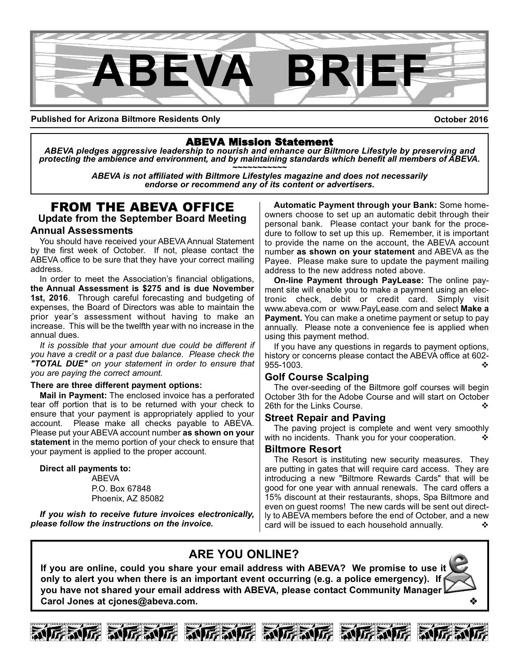

**Published for Arizona Biltmore Residents Only**

**October 2016**

## ABEVA Mission Statement

*ABEVA pledges aggressive leadership to nourish and enhance our Biltmore Lifestyle by preserving and* protecting the ambience and environment, and by maintaining standards which benefit all members of ABEVA.<br>ABEVA is not affiliated with Biltmore Lifestyles magazine and does not necessarily

*endorse or recommend any of its content or advertisers.*

# FROM THE ABEVA OFFICE

**Update from the September Board Meeting**

#### **Annual Assessments**

You should have received your ABEVA Annual Statement by the first week of October. If not, please contact the ABEVA office to be sure that they have your correct mailing address.

In order to meet the Association's financial obligations, **the Annual Assessment is \$275 and is due November 1st, 2016**. Through careful forecasting and budgeting of expenses, the Board of Directors was able to maintain the prior year's assessment without having to make an increase. This will be the twelfth year with no increase in the annual dues.

*It is possible that your amount due could be different if you have a credit or a past due balance. Please check the "TOTAL DUE" on your statement in order to ensure that you are paying the correct amount.*

#### **There are three different payment options:**

**Mail in Payment:** The enclosed invoice has a perforated tear off portion that is to be returned with your check to ensure that your payment is appropriately applied to your account. Please make all checks payable to ABEVA. Please put your ABEVA account number **as shown on your statement** in the memo portion of your check to ensure that your payment is applied to the proper account.

**Direct all payments to:**

ABEVA P.O. Box 67848 Phoenix, AZ 85082

*If you wish to receive future invoices electronically, please follow the instructions on the invoice.* 

**Automatic Payment through your Bank:** Some homeowners choose to set up an automatic debit through their personal bank. Please contact your bank for the procedure to follow to set up this up. Remember, it is important to provide the name on the account, the ABEVA account number **as shown on your statement** and ABEVA as the Payee. Please make sure to update the payment mailing address to the new address noted above.

**On-line Payment through PayLease:** The online payment site will enable you to make a payment using an electronic check, debit or credit card. Simply visit www.abeva.com or www.PayLease.com and select **Make a Payment.** You can make a onetime payment or setup to pay annually. Please note a convenience fee is applied when using this payment method.

If you have any questions in regards to payment options, history or concerns please contact the ABEVA office at 602 955-1003.

#### **Golf Course Scalping**

The over-seeding of the Biltmore golf courses will begin October 3th for the Adobe Course and will start on October 26th for the Links Course.

#### **Street Repair and Paving**

The paving project is complete and went very smoothly with no incidents. Thank you for your cooperation.

#### **Biltmore Resort**

The Resort is instituting new security measures. They are putting in gates that will require card access. They are introducing a new "Biltmore Rewards Cards" that will be good for one year with annual renewals. The card offers a 15% discount at their restaurants, shops, Spa Biltmore and even on guest rooms! The new cards will be sent out directly to ABEVA members before the end of October, and a new card will be issued to each household annually.

# **ARE YOU ONLINE?**

**If you are online, could you share your email address with ABEVA? We promise to use it only to alert you when there is an important event occurring (e.g. a police emergency). If you have not shared your email address with ABEVA, please contact Community Manager** Carol Jones at cjones@abeva.com.







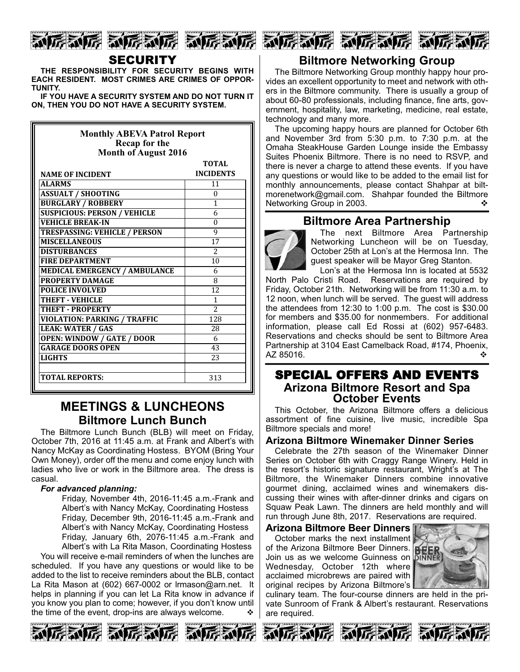

#### SECURITY

**THE RESPONSIBILITY FOR SECURITY BEGINS WITH EACH RESIDENT. MOST CRIMES ARE CRIMES OF OPPOR-TUNITY.** 

**IF YOU HAVE A SECURITY SYSTEM AND DO NOT TURN IT ON, THEN YOU DO NOT HAVE A SECURITY SYSTEM.**

| <b>Monthly ABEVA Patrol Report</b><br>Recap for the<br>Month of August 2016 |                  |  |
|-----------------------------------------------------------------------------|------------------|--|
|                                                                             | TOTAL            |  |
| <b>NAME OF INCIDENT</b>                                                     | <b>INCIDENTS</b> |  |
| <b>ALARMS</b>                                                               | 11               |  |
| <b>ASSUALT / SHOOTING</b>                                                   | $\Omega$         |  |
| <b>BURGLARY / ROBBERY</b>                                                   | 1                |  |
| <b>SUSPICIOUS: PERSON / VEHICLE</b>                                         | 6                |  |
| <b>VEHICLE BREAK-IN</b>                                                     | $\Omega$         |  |
| <b>TRESPASSING: VEHICLE / PERSON</b>                                        | 9                |  |
| <b>MISCELLANEOUS</b>                                                        | 17               |  |
| <b>DISTURBANCES</b>                                                         | $\overline{c}$   |  |
| <b>FIRE DEPARTMENT</b>                                                      | 10               |  |
| <b>MEDICAL EMERGENCY / AMBULANCE</b>                                        | 6                |  |
| <b>PROPERTY DAMAGE</b>                                                      | 8                |  |
| <b>POLICE INVOLVED</b>                                                      | 12               |  |
| <b>THEFT - VEHICLE</b>                                                      | $\mathbf{1}$     |  |
| <b>THEFT - PROPERTY</b>                                                     | $\overline{2}$   |  |
| <b>VIOLATION: PARKING / TRAFFIC</b>                                         | 128              |  |
| <b>LEAK: WATER / GAS</b>                                                    | 28               |  |
| <b>OPEN: WINDOW / GATE / DOOR</b>                                           | 6                |  |
| <b>GARAGE DOORS OPEN</b>                                                    | 43               |  |
| <b>LIGHTS</b>                                                               | 23               |  |
|                                                                             |                  |  |
| <b>TOTAL REPORTS:</b>                                                       | 313              |  |

## **MEETINGS & LUNCHEONS Biltmore Lunch Bunch**

The Biltmore Lunch Bunch (BLB) will meet on Friday, October 7th, 2016 at 11:45 a.m. at Frank and Albert's with Nancy McKay as Coordinating Hostess. BYOM (Bring Your Own Money), order off the menu and come enjoy lunch with ladies who live or work in the Biltmore area. The dress is casual.

#### *For advanced planning:*

Friday, November 4th, 2016-11:45 a.m.-Frank and Albert's with Nancy McKay, Coordinating Hostess Friday, December 9th, 2016-11:45 a.m.-Frank and Albert's with Nancy McKay, Coordinating Hostess Friday, January 6th, 2076-11:45 a.m.-Frank and Albert's with La Rita Mason, Coordinating Hostess

You will receive e-mail reminders of when the lunches are scheduled. If you have any questions or would like to be added to the list to receive reminders about the BLB, contact La Rita Mason at  $(602)$  667-0002 or Irmason@arn.net. It helps in planning if you can let La Rita know in advance if you know you plan to come; however, if you don't know until the time of the event, drop-ins are always welcome.  $\cdot\cdot\cdot$ 









The Biltmore Networking Group monthly happy hour provides an excellent opportunity to meet and network with others in the Biltmore community. There is usually a group of about 60-80 professionals, including finance, fine arts, government, hospitality, law, marketing, medicine, real estate, technology and many more.

The upcoming happy hours are planned for October 6th and November 3rd from 5:30 p.m. to 7:30 p.m. at the Omaha SteakHouse Garden Lounge inside the Embassy Suites Phoenix Biltmore. There is no need to RSVP, and there is never a charge to attend these events. If you have any questions or would like to be added to the email list for monthly announcements, please contact Shahpar at biltmorenetwork@gmail.com. Shahpar founded the Biltmore Networking Group in 2003.  $\blacklozenge$ 

## **Biltmore Area Partnership**



The next Biltmore Area Partnership Networking Luncheon will be on Tuesday, October 25th at Lon's at the Hermosa Inn. The guest speaker will be Mayor Greg Stanton.

Lon's at the Hermosa Inn is located at 5532 North Palo Cristi Road. Reservations are required by Friday, October 21th. Networking will be from 11:30 a.m. to 12 noon, when lunch will be served. The guest will address the attendees from 12:30 to 1:00 p.m. The cost is \$30.00 for members and \$35.00 for nonmembers. For additional information, please call Ed Rossi at (602) 957-6483. Reservations and checks should be sent to Biltmore Area Partnership at 3104 East Camelback Road, #174, Phoenix,<br>4Z 85016. AZ 85016.

# SPECIAL OFFERS AND EVENTS **Arizona Biltmore Resort and Spa October Events**

This October, the Arizona Biltmore offers a delicious assortment of fine cuisine, live music, incredible Spa Biltmore specials and more!

#### **Arizona Biltmore Winemaker Dinner Series**

Celebrate the 27th season of the Winemaker Dinner Series on October 6th with Craggy Range Winery. Held in the resort's historic signature restaurant, Wright's at The Biltmore, the Winemaker Dinners combine innovative gourmet dining, acclaimed wines and winemakers discussing their wines with after-dinner drinks and cigars on Squaw Peak Lawn. The dinners are held monthly and will run through June 8th, 2017. Reservations are required.

#### **Arizona Biltmore Beer Dinners**

October marks the next installment of the Arizona Biltmore Beer Dinners. Join us as we welcome Guinness on Wednesday, October 12th where acclaimed microbrews are paired with original recipes by Arizona Biltmore's



culinary team. The four-course dinners are held in the private Sunroom of Frank & Albert's restaurant. Reservations are required.





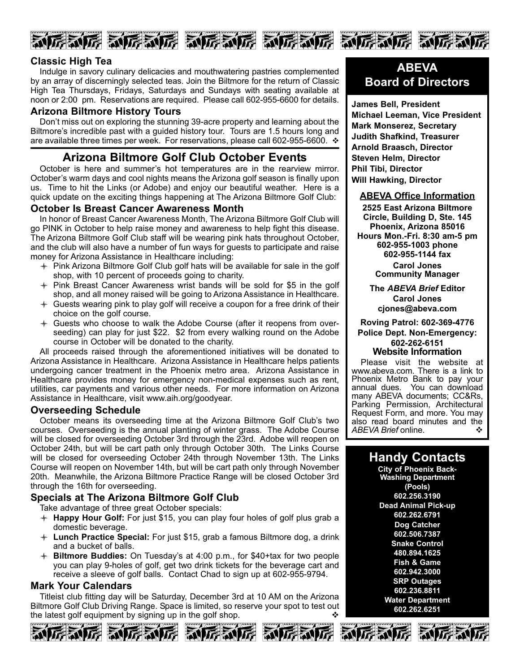

#### **Classic High Tea**

Indulge in savory culinary delicacies and mouthwatering pastries complemented by an array of discerningly selected teas. Join the Biltmore for the return of Classic High Tea Thursdays, Fridays, Saturdays and Sundays with seating available at noon or 2:00 pm. Reservations are required. Please call 602-955-6600 for details.

#### **Arizona Biltmore History Tours**

Don't miss out on exploring the stunning 39-acre property and learning about the Biltmore's incredible past with a guided history tour. Tours are 1.5 hours long and are available three times per week. For reservations, please call 602-955-6600.  $\cdot$ 

# **Arizona Biltmore Golf Club October Events**

October is here and summer's hot temperatures are in the rearview mirror. October's warm days and cool nights means the Arizona golf season is finally upon us. Time to hit the Links (or Adobe) and enjoy our beautiful weather. Here is a quick update on the exciting things happening at The Arizona Biltmore Golf Club:

#### **October Is Breast Cancer Awareness Month**

In honor of Breast Cancer Awareness Month, The Arizona Biltmore Golf Club will go PINK in October to help raise money and awareness to help fight this disease. The Arizona Biltmore Golf Club staff will be wearing pink hats throughout October, and the club will also have a number of fun ways for guests to participate and raise money for Arizona Assistance in Healthcare including:

- $+$  Pink Arizona Biltmore Golf Club golf hats will be available for sale in the golf shop, with 10 percent of proceeds going to charity.
- $+$  Pink Breast Cancer Awareness wrist bands will be sold for \$5 in the golf shop, and all money raised will be going to Arizona Assistance in Healthcare.
- $\div$  Guests wearing pink to play golf will receive a coupon for a free drink of their choice on the golf course.
- $+$  Guests who choose to walk the Adobe Course (after it reopens from overseeding) can play for just \$22. \$2 from every walking round on the Adobe course in October will be donated to the charity.

All proceeds raised through the aforementioned initiatives will be donated to Arizona Assistance in Healthcare. Arizona Assistance in Healthcare helps patients undergoing cancer treatment in the Phoenix metro area. Arizona Assistance in Healthcare provides money for emergency non-medical expenses such as rent, utilities, car payments and various other needs. For more information on Arizona Assistance in Healthcare, visit www.aih.org/goodyear.

#### **Overseeding Schedule**

October means its overseeding time at the Arizona Biltmore Golf Club's two courses. Overseeding is the annual planting of winter grass. The Adobe Course will be closed for overseeding October 3rd through the 23rd. Adobe will reopen on October 24th, but will be cart path only through October 30th. The Links Course will be closed for overseeding October 24th through November 13th. The Links Course will reopen on November 14th, but will be cart path only through November 20th. Meanwhile, the Arizona Biltmore Practice Range will be closed October 3rd through the 16th for overseeding.

### **Specials at The Arizona Biltmore Golf Club**

Take advantage of three great October specials:

- l **Happy Hour Golf:** For just \$15, you can play four holes of golf plus grab a domestic beverage.
- l **Lunch Practice Special:** For just \$15, grab a famous Biltmore dog, a drink and a bucket of balls.
- l **Biltmore Buddies:** On Tuesday's at 4:00 p.m., for \$40+tax for two people you can play 9-holes of golf, get two drink tickets for the beverage cart and receive a sleeve of golf balls. Contact Chad to sign up at 602-955-9794.

#### **Mark Your Calendars**

Titleist club fitting day will be Saturday, December 3rd at 10 AM on the Arizona Biltmore Golf Club Driving Range. Space is limited, so reserve your spot to test out the latest golf equipment by signing up in the golf shop.<br>
A  $\overline{M}$  and  $\overline{M}$  and  $\overline{M}$  and  $\overline{M}$  and  $\overline{M}$  and  $\overline{M}$  and  $\overline{M}$ 









# **ABEVA Board of Directors**

**James Bell, President Michael Leeman, Vice President Mark Monserez, Secretary Judith Shafkind, Treasurer Arnold Braasch, Director Steven Helm, Director Phil Tibi, Director Will Hawking, Director**

#### **ABEVA Office Information**

**2525 East Arizona Biltmore Circle, Building D, Ste. 145 Phoenix, Arizona 85016 Hours Mon.Fri. 8:30 am5 pm 6029551003 phone 6029551144 fax Carol Jones Community Manager**

> **The** *ABEVA Brief* **Editor Carol Jones cjones@abeva.com**

**Roving Patrol: 6023694776 Police Dept. Non-Emergency: 6022626151**

### **Website Information**

Please visit the website at www.abeva.com. There is a link to Phoenix Metro Bank to pay your annual dues. You can download many ABEVA documents; CC&Rs, Parking Permission, Architectural Request Form, and more. You may also read board minutes and the  $ABFVA$  Brief online ABEVA Brief online.

# **Handy Contacts**

**City of Phoenix Back-Washing Department (Pools) 602.256.3190 Dead Animal Pick-up 602.262.6791 Dog Catcher 602.506.7387 Snake Control 480.894.1625 Fish & Game 602.942.3000 SRP Outages 602.236.8811 Water Department 602.262.6251**